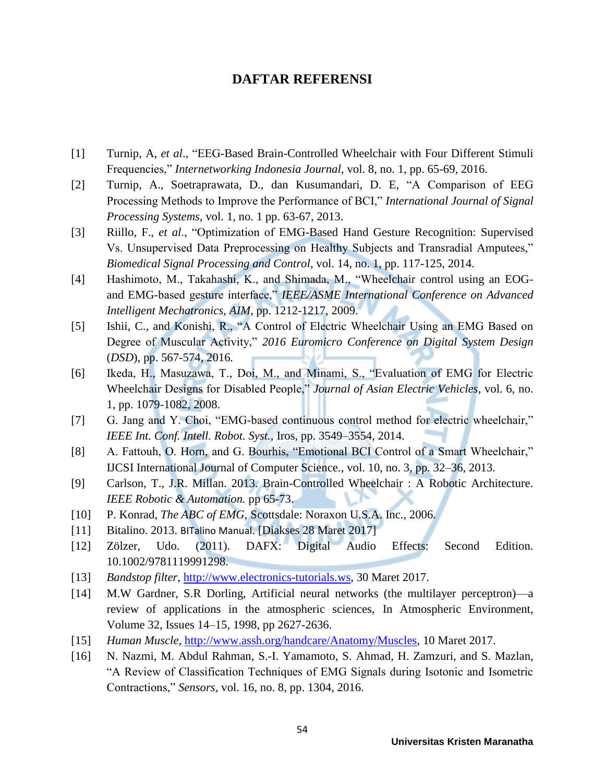## **DAFTAR REFERENSI**

- [1] Turnip, A, *et al.*, "EEG-Based Brain-Controlled Wheelchair with Four Different Stimuli Frequencies,‖ *Internetworking Indonesia Journal*, vol. 8, no. 1, pp. 65-69, 2016.
- [2] Turnip, A., Soetraprawata, D., dan Kusumandari, D. E, "A Comparison of EEG Processing Methods to Improve the Performance of BCI," *International Journal of Signal Processing Systems*, vol. 1, no. 1 pp. 63-67, 2013.
- [3] Riillo, F., *et al.*, "Optimization of EMG-Based Hand Gesture Recognition: Supervised Vs. Unsupervised Data Preprocessing on Healthy Subjects and Transradial Amputees," *Biomedical Signal Processing and Control*, vol. 14, no. 1, pp. 117-125, 2014.
- [4] Hashimoto, M., Takahashi, K., and Shimada, M., "Wheelchair control using an EOGand EMG-based gesture interface," *IEEE/ASME International Conference on Advanced Intelligent Mechatronics, AIM*, pp. 1212-1217, 2009.
- [5] Ishii, C., and Konishi, R., "A Control of Electric Wheelchair Using an EMG Based on Degree of Muscular Activity," 2016 Euromicro Conference on Digital System Design (*DSD*), pp. 567-574, 2016*.*
- [6] Ikeda, H., Masuzawa, T., Doi, M., and Minami, S., "Evaluation of EMG for Electric Wheelchair Designs for Disabled People," *Journal of Asian Electric Vehicles*, vol. 6, no. 1, pp. 1079-1082, 2008.
- [7] G. Jang and Y. Choi, "EMG-based continuous control method for electric wheelchair," *IEEE Int. Conf. Intell. Robot. Syst.*, Iros, pp. 3549–3554, 2014.
- [8] A. Fattouh, O. Horn, and G. Bourhis, "Emotional BCI Control of a Smart Wheelchair," IJCSI International Journal of Computer Science*.*, vol. 10, no. 3, pp. 32–36, 2013.
- [9] Carlson, T., J.R. Millan. 2013. Brain-Controlled Wheelchair : A Robotic Architecture. *IEEE Robotic & Automation.* pp 65-73.
- [10] P. Konrad, *The ABC of EMG*, Scottsdale: Noraxon U.S.A. Inc., 2006.
- [11] Bitalino. 2013. BITalino Manual. [Diakses 28 Maret 2017]
- [12] Zölzer, Udo. (2011). DAFX: Digital Audio Effects: Second Edition. 10.1002/9781119991298.
- [13] *Bandstop filter*, [http://www.electronics-tutorials.ws,](http://www.electronics-tutorials.ws/) 30 Maret 2017.
- [14] M.W Gardner, S.R Dorling, Artificial neural networks (the multilayer perceptron)—a review of applications in the atmospheric sciences, In Atmospheric Environment, Volume 32, Issues 14–15, 1998, pp 2627-2636.
- [15] *Human Muscle*, [http://www.assh.org/handcare/Anatomy/Muscles,](http://www.assh.org/handcare/Anatomy/Muscles) 10 Maret 2017.
- [16] N. Nazmi, M. Abdul Rahman, S.-I. Yamamoto, S. Ahmad, H. Zamzuri, and S. Mazlan, ―A Review of Classification Techniques of EMG Signals during Isotonic and Isometric Contractions,‖ *Sensors*, vol. 16, no. 8, pp. 1304, 2016.